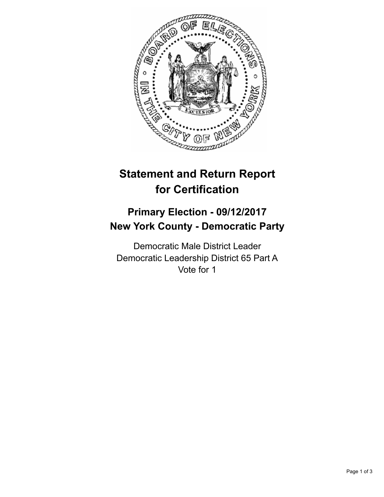

## **Statement and Return Report for Certification**

## **Primary Election - 09/12/2017 New York County - Democratic Party**

Democratic Male District Leader Democratic Leadership District 65 Part A Vote for 1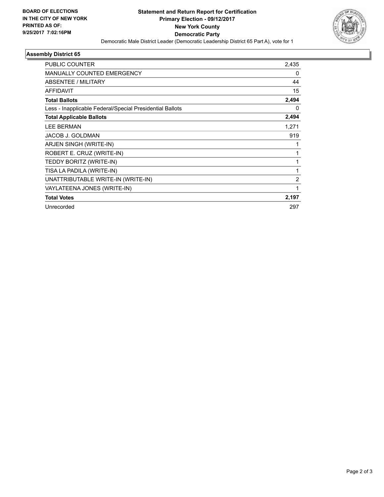

## **Assembly District 65**

| PUBLIC COUNTER                                           | 2,435 |
|----------------------------------------------------------|-------|
| <b>MANUALLY COUNTED EMERGENCY</b>                        | 0     |
| ABSENTEE / MILITARY                                      | 44    |
| <b>AFFIDAVIT</b>                                         | 15    |
| <b>Total Ballots</b>                                     | 2,494 |
| Less - Inapplicable Federal/Special Presidential Ballots | 0     |
| <b>Total Applicable Ballots</b>                          | 2,494 |
| <b>LEE BERMAN</b>                                        | 1,271 |
| <b>JACOB J. GOLDMAN</b>                                  | 919   |
| ARJEN SINGH (WRITE-IN)                                   | 1     |
| ROBERT E. CRUZ (WRITE-IN)                                | 1     |
| TEDDY BORITZ (WRITE-IN)                                  | 1     |
| TISA LA PADILA (WRITE-IN)                                | 1     |
| UNATTRIBUTABLE WRITE-IN (WRITE-IN)                       | 2     |
| VAYLATEENA JONES (WRITE-IN)                              | 1     |
| <b>Total Votes</b>                                       | 2,197 |
| Unrecorded                                               | 297   |